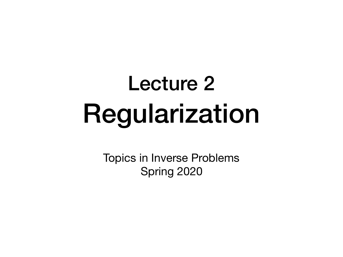## Lecture 2 Regularization

Topics in Inverse Problems Spring 2020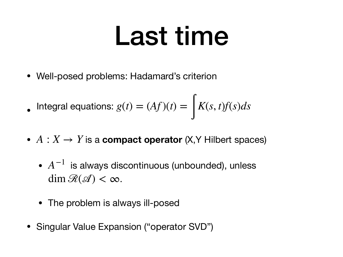## Last time

• Well-posed problems: Hadamard's criterion

• Integral equations: 
$$
g(t) = (Af)(t) = \int K(s, t)f(s)ds
$$

- $A: X \rightarrow Y$  is a **compact operator**  $(X, Y$  Hilbert spaces)
	- $A^{-1}$  is always discontinuous (unbounded), unless  $\dim \mathcal{R}(\mathcal{A}) < \infty$ .
	- The problem is always ill-posed
- Singular Value Expansion ("operator SVD")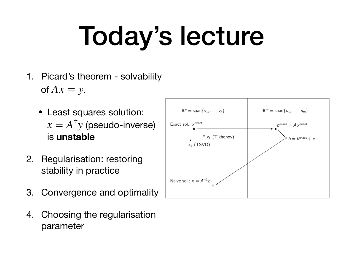# Today's lecture

- 1. Picard's theorem solvability of  $Ax = y$ .
	- Least squares solution:  $x = A^{\dagger} y$  (pseudo-inverse) is **unstable**
- 2. Regularisation: restoring stability in practice
- 3. Convergence and optimality
- 4. Choosing the regularisation parameter

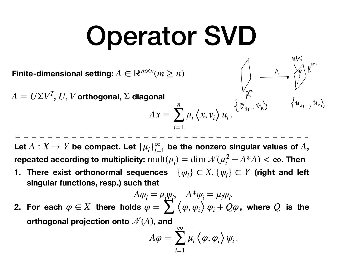## Operator SVD

Finite-dimensional setting:  $A \in \mathbb{R}^{m \times n} (m \ge n)$ 

 $A = U\Sigma V^T$ , *U*, *V* orthogonal,  $\Sigma$  diagonal

$$
\text{goal} \quad \int_{\mathbb{R}^N} \mathbb{P}(u_1, u_2, u_3) \, dx = \sum_{i=1}^n \mu_i \left\langle x, v_i \right\rangle u_i. \quad \left\{ v_1, \dots, v_n \right\} \quad \left\{ u_2, \dots, u_n \right\}
$$

 $\begin{pmatrix} 1 & 1 \\ 1 & 1 \end{pmatrix}$ 

Let  $A: X \rightarrow Y$  be compact. Let  $\{\mu_i\}_{i=1}^{\infty}$  be the nonzero singular values of  $A$ ,  $\bf{repeated\ according\ to\ multiplicity:} \; mult(\mu_i) = \dim \mathcal{N}(\mu_i^2 - A^*A) < \infty.$  Then

**1. There exist orthonormal sequences**  $\{\varphi_i\} \subset X$ ,  $\{\psi_i\} \subset Y$  (right and left **singular functions, resp.) such that**

2. For each 
$$
\varphi \in X
$$
 there holds  $\varphi = \sum_{i=1}^{n} \langle \varphi, \varphi_i \rangle \varphi_i + Q\varphi$ , where  $Q$  is the orthogonal projection onto  $\mathcal{N}(A)$ , and

$$
A\varphi=\sum_{i=1}^{\infty}\mu_i\left\langle\varphi,\varphi_i\right\rangle\psi_i.
$$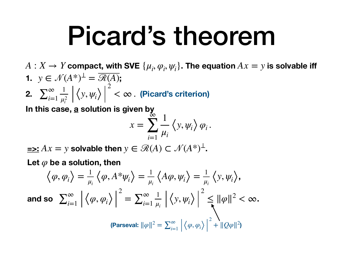## Picard's theorem

- $A: X \rightarrow Y$  compact, with SVE  $\{\mu_i, \varphi_i, \psi_i\}$ . The equation  $Ax = y$  is solvable iff **1.**  $y \in \mathcal{N}(A^*)^{\perp} = \overline{\mathcal{R}(A)}$ ; 2
- **2.**  $\sum_{i=1}^{\infty} \frac{1}{n^2}$   $\left| \left\langle y, \psi_i \right\rangle \right|^2 < \infty$  . (Picard's criterion) *i*=1 1  $\mu_i^2$  $\langle y, \psi_i \rangle$  $< \infty$  .

In this case, a solution is given by

$$
x = \sum_{i=1}^{\infty} \frac{1}{\mu_i} \left\langle y, \psi_i \right\rangle \varphi_i.
$$

 $\equiv$   $\ge$ :  $Ax = y$  solvable then  $y \in \mathcal{R}(A) \subset \mathcal{N}(A^*)^{\perp}$ .

Let  $\varphi$  be a solution, then

$$
\langle \varphi, \varphi_i \rangle = \frac{1}{\mu_i} \langle \varphi, A^* \psi_i \rangle = \frac{1}{\mu_i} \langle A\varphi, \psi_i \rangle = \frac{1}{\mu_i} \langle y, \psi_i \rangle,
$$
  
and so 
$$
\sum_{i=1}^{\infty} \left| \langle \varphi, \varphi_i \rangle \right|^2 = \sum_{i=1}^{\infty} \frac{1}{\mu_i} \left| \langle y, \psi_i \rangle \right|^2 \le ||\varphi||^2 < \infty.
$$
  
(Parseval:  $||\varphi||^2 = \sum_{i=1}^{\infty} \left| \langle \varphi, \varphi_i \rangle \right|^2 + ||Q\varphi||^2$ )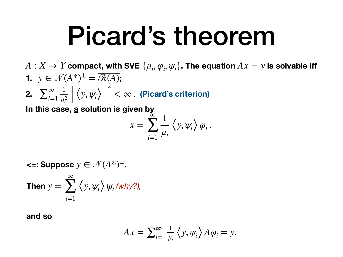## Picard's theorem

 $A: X \rightarrow Y$  compact, with SVE  $\{\mu_i, \varphi_i, \psi_i\}$ . The equation  $Ax = y$  is solvable iff **1.**  $y \in \mathcal{N}(A^*)^{\perp} = \mathcal{R}(A);$ **2.**  $\sum_{i=1}^{100} \left| \left\langle y, \psi_i \right\rangle \right| < \infty$ . (Picard's criterion)  $y \in \mathcal{N}(A^*)^{\perp} = \overline{\mathcal{R}(A)}$  $\sum_{i=1}^{\infty}$ 1  $\langle y, \psi_i \rangle$ 2  $< \infty$  .

In this case, a solution is given by  $\mu_i^2$ 

*i*=1

$$
x = \sum_{i=1}^{\infty} \frac{1}{\mu_i} \left\langle y, \psi_i \right\rangle \varphi_i.
$$

**ce**: Suppose 
$$
y \in \mathcal{N}(A^*)^{\perp}
$$
.  
Then  $y = \sum_{i=1}^{\infty} \langle y, \psi_i \rangle \psi_i \text{ (why?),}$ 

**and so** 

$$
Ax = \sum_{i=1}^{\infty} \frac{1}{\mu_i} \left\langle y, \psi_i \right\rangle A \varphi_i = y.
$$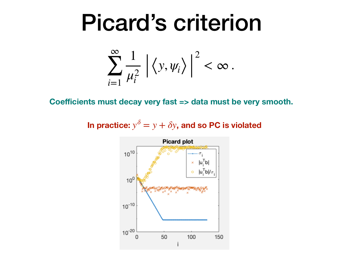## Picard's criterion

$$
\sum_{i=1}^{\infty} \frac{1}{\mu_i^2} \left| \left\langle y, \psi_i \right\rangle \right|^2 < \infty \, .
$$

Coefficients must decay very fast => data must be very smooth.

In practice:  $y^{\delta} = y + \delta y$ , and so PC is violated

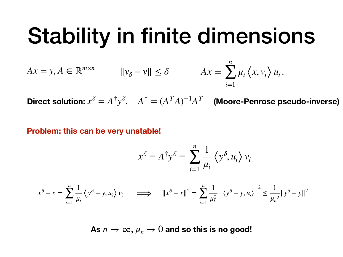### Stability in finite dimensions

$$
Ax = y, A \in \mathbb{R}^{m \times n} \qquad \qquad \|y_{\delta} - y\| \le \delta \qquad \qquad Ax = \sum_{i=1}^{n} \mu_i \left\langle x, v_i \right\rangle u_i.
$$

 $\mathbf{Direct}$  solution:  $x^\delta = A^\dagger y^\delta, \quad A^\dagger = (A^T A)^{-1} A^T$  (Moore-Penrose pseudo-inverse)

**Problem: this can be very unstable!**

$$
x^{\delta} = A^{\dagger} y^{\delta} = \sum_{i=1}^{n} \frac{1}{\mu_i} \left\langle y^{\delta}, u_i \right\rangle v_i
$$

$$
x^{\delta} - x = \sum_{i=1}^{n} \frac{1}{\mu_i} \left\langle y^{\delta} - y, u_i \right\rangle v_i \qquad \Longrightarrow \qquad ||x^{\delta} - x||^2 = \sum_{i=1}^{n} \frac{1}{\mu_i^2} \left| \left\langle y^{\delta} - y, u_i \right\rangle \right|^2 \le \frac{1}{\mu_n^2} ||y^{\delta} - y||^2
$$

As  $n \to \infty$ ,  $\mu_n \to 0$  and so this is no good!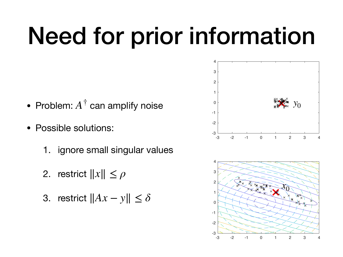## Need for prior information

- Problem:  $A^{\dagger}$  can amplify noise
- Possible solutions:
	- 1. ignore small singular values
	- 2. restrict ∥*x*∥ ≤ *ρ*
	- 3. restrict ∥*Ax* − *y*∥ ≤ *δ*



-3 -2 -1 0 1 2 3 4

 $-3^{\circ}$  -3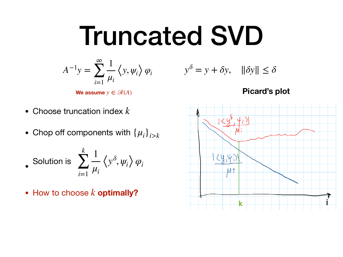## Truncated SVD

$$
A^{-1}y = \sum_{i=1}^{\infty} \frac{1}{\mu_i} \left\langle y, \psi_i \right\rangle \varphi_i
$$

**We assume**  $y \in \mathcal{R}(A)$ 

- Choose truncation index *k*
- Chop off components with  $\{\mu_i\}_{i>k}$

Solution is 
$$
\sum_{i=1}^{k} \frac{1}{\mu_i} \left\langle y^{\delta}, \psi_i \right\rangle \varphi_i
$$

• How to choose  $k$  optimally?

$$
\langle y, \psi_i \rangle \varphi_i \qquad \qquad y^\delta = y + \delta y, \quad ||\delta y|| \le \delta
$$

**Picard's plot**

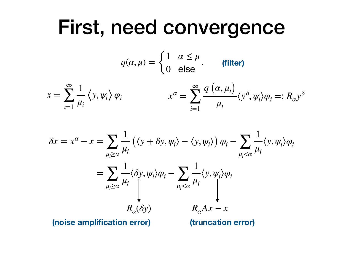### First, need convergence

$$
q(\alpha,\mu) = \begin{cases} 1 & \alpha \le \mu \\ 0 & \text{else} \end{cases}
$$
 (filter)

$$
x = \sum_{i=1}^{\infty} \frac{1}{\mu_i} \langle y, \psi_i \rangle \varphi_i \qquad x^{\alpha} = \sum_{i=1}^{\infty} \frac{q(\alpha, \mu_i)}{\mu_i} \langle y^{\delta}, \psi_i \rangle \varphi_i =: R_{\alpha} y^{\delta}
$$

$$
\delta x = x^{\alpha} - x = \sum_{\mu_i \ge \alpha} \frac{1}{\mu_i} \left( \langle y + \delta y, \psi_i \rangle - \langle y, \psi_i \rangle \right) \varphi_i - \sum_{\mu_i < \alpha} \frac{1}{\mu_i} \langle y, \psi_i \rangle \varphi_i
$$
\n
$$
= \sum_{\mu_i \ge \alpha} \frac{1}{\mu_i} \langle \delta y, \psi_i \rangle \varphi_i - \sum_{\mu_i < \alpha} \frac{1}{\mu_i} \langle y, \psi_i \rangle \varphi_i
$$
\nnoise amplification error)

\n(truncation error)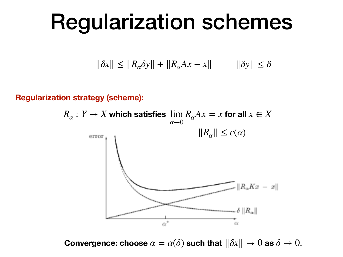### Regularization schemes

$$
\|\delta x\| \le \|R_{\alpha}\delta y\| + \|R_{\alpha}Ax - x\| \qquad \|\delta y\| \le \delta
$$

**Regularization strategy (scheme):**



**Convergence: choose**  $\alpha = \alpha(\delta)$  such that  $\|\delta x\| \to 0$  as  $\delta \to 0$ .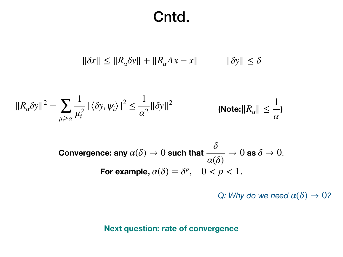### Cntd.

$$
\|\delta x\| \le \|R_{\alpha}\delta y\| + \|R_{\alpha}Ax - x\| \qquad \|\delta y\| \le \delta
$$

$$
||R_{\alpha}\delta y||^{2} = \sum_{\mu_{i}\geq\alpha} \frac{1}{\mu_{i}^{2}} |\langle \delta y, \psi_{i} \rangle|^{2} \leq \frac{1}{\alpha^{2}} ||\delta y||^{2}
$$
 (Note:  $||R_{\alpha}|| \leq \frac{1}{\alpha}$ )

Convergence: any  $\alpha(\delta) \to 0$  such that  $\textcolor{red}{\overbrace{\phantom{a}}^{<\infty}} \to 0$  as **For example,**  $\alpha(\delta) = \delta^p$ ,  $0 < p < 1$ . *δ α*(*δ*)  $\rightarrow 0$  as  $\delta \rightarrow 0$ .

*Q: Why do we need*  $\alpha(\delta) \rightarrow 0$ ?

### **Next question: rate of convergence**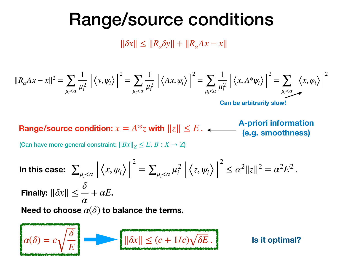### Range/source conditions

∥*δx*∥ ≤ ∥*Rαδy*∥ + ∥*RαAx* − *x*∥

$$
||R_{\alpha}Ax - x||^2 = \sum_{\mu_i < \alpha} \frac{1}{\mu_i^2} \left| \left\langle y, \psi_i \right\rangle \right|^2 = \sum_{\mu_i < \alpha} \frac{1}{\mu_i^2} \left| \left\langle Ax, \psi_i \right\rangle \right|^2 = \sum_{\mu_i < \alpha} \frac{1}{\mu_i^2} \left| \left\langle x, A^* \psi_i \right\rangle \right|^2 = \sum_{\mu_i < \alpha} \left| \left\langle x, \phi_i \right\rangle \right|^2
$$

**Can be arbitrarily slow!**

**Range/source condition:**  $x = A * z$  with  $||z|| \le E$ . **A-priori information (e.g. smoothness)**

(Can have more general constraint:  $||Bx||_Z \leq E, B: X \to Z$ )

**In this case:**  $\sum_{\mu_i<\alpha}|\left\langle x,\phi_i\right\rangle$ 2  $= \sum_{\mu_i < \alpha} \mu_i^2 \left| \left\langle z, \psi_i \right\rangle \right|$ 2  $\leq \alpha^2 ||z||^2 = \alpha^2 E^2$ . **Finally:**  $\|\delta x\| \leq - + \alpha E$ . Need to choose  $\alpha(\delta)$  to balance the terms. *δ α*  $+$   $\alpha E$ 

 $\alpha(\delta) = c$ *δ*  $\|\delta x\| \le (c + 1/c)\sqrt{\delta E}$ . **Is it optimal?**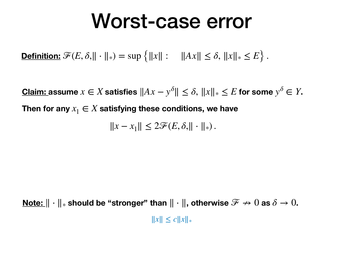### Worst-case error

**Definition:**  $\mathscr{F}(E, \delta, ||\cdot||_*) = \sup\{|x||: ||Ax|| \leq \delta, ||x||_* \leq E\}$ .

**Claim:** assume  $x \in X$  satisfies  $||Ax - y^{\delta}|| \leq \delta$ ,  $||x||_* \leq E$  for some  $y^{\delta} \in Y$ . Then for any  $x_1 \in X$  satisfying these conditions, we have

 $||x - x_1||$  ≤ 2 $\mathcal{F}(E, \delta, || \cdot ||_*)$ .

**Note:**  $\|\cdot\|_*$  should be "stronger" than  $\|\cdot\|$ , otherwise  $\mathscr{F} \nrightarrow 0$  as  $\delta \rightarrow 0$ . ∥*x*∥ ≤ *c*∥*x*∥\*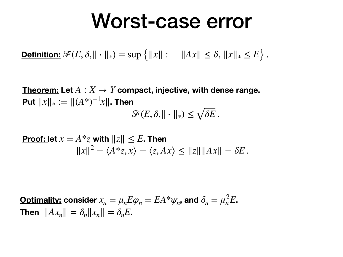### Worst-case error

**Definition:**  $\mathscr{F}(E, \delta, || \cdot ||_*) = \sup \{ ||x|| : ||Ax|| \leq \delta, ||x||_* \leq E \}$ .

 $\bf Theorem: Let\ A\, X \rightarrow Y$  compact, injective, with dense range.  $\textsf{Put } ||x||_* := ||(A^*)^{-1}x||.$  Then  $\mathscr{F}(E, \delta, || \cdot ||_*) \leq \sqrt{\delta E}$ .

**Proof:** let 
$$
x = A^*z
$$
 with  $||z|| \le E$ . Then  

$$
||x||^2 = \langle A^*z, x \rangle = \langle z, Ax \rangle \le ||z|| ||Ax|| = \delta E.
$$

 $\bf{Optimality:}$  consider  $x_n = \mu_n E \varphi_n = E A^* \psi_n$ , and  $\delta_n = \mu_n^2 E$ . **Then**  $||Ax_n|| = \delta_n ||x_n|| = \delta_n E$ .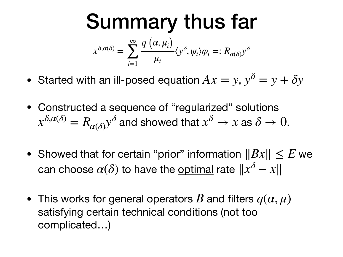#### Summary thus far  $x^{\delta,\alpha(\delta)} =$ ∞ ∑ *i*=1  $q\left(\alpha,\mu_{i}\right)$ *μi*  $\langle y^{\delta}, \psi_i \rangle \varphi_i =: R_{\alpha(\delta)} y^{\delta}$

- Started with an ill-posed equation  $Ax = y$ ,  $y^{\delta} = y + \delta y$
- Constructed a sequence of "regularized" solutions  $x^{\delta, \alpha(\delta)} = R_{\alpha(\delta)} y^\delta$  and showed that  $x^\delta \to x$  as  $\delta \to 0.$
- Showed that for certain "prior" information  $||Bx|| \le E$  we  $\alpha$ can choose  $\alpha(\delta)$  to have the <u>optimal</u> rate  $\|x^\delta - x\|$
- This works for general operators  $B$  and filters  $q(\alpha, \mu)$ satisfying certain technical conditions (not too complicated…)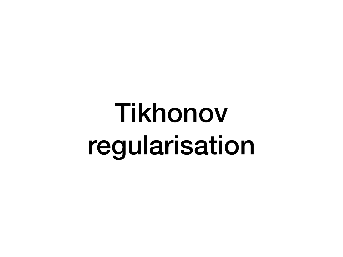## Tikhonov regularisation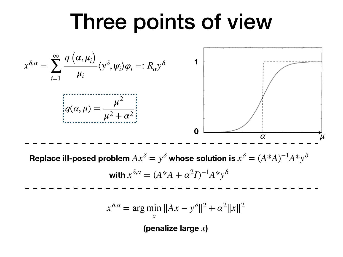### Three points of view

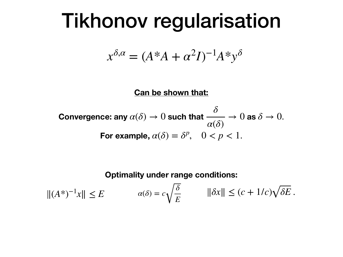### Tikhonov regularisation

$$
x^{\delta,\alpha} = (A^*A + \alpha^2 I)^{-1}A^*y^{\delta}
$$

**Can be shown that:**

**Convergence:** any 
$$
\alpha(\delta) \to 0
$$
 such that  $\frac{\delta}{\alpha(\delta)} \to 0$  as  $\delta \to 0$ .  
**For example,**  $\alpha(\delta) = \delta^p$ ,  $0 < p < 1$ .

**Optimality under range conditions:** 

$$
||(A^*)^{-1}x|| \le E \qquad \qquad \alpha(\delta) = c\sqrt{\frac{\delta}{E}} \qquad ||\delta x|| \le (c+1/c)\sqrt{\delta E} \, .
$$